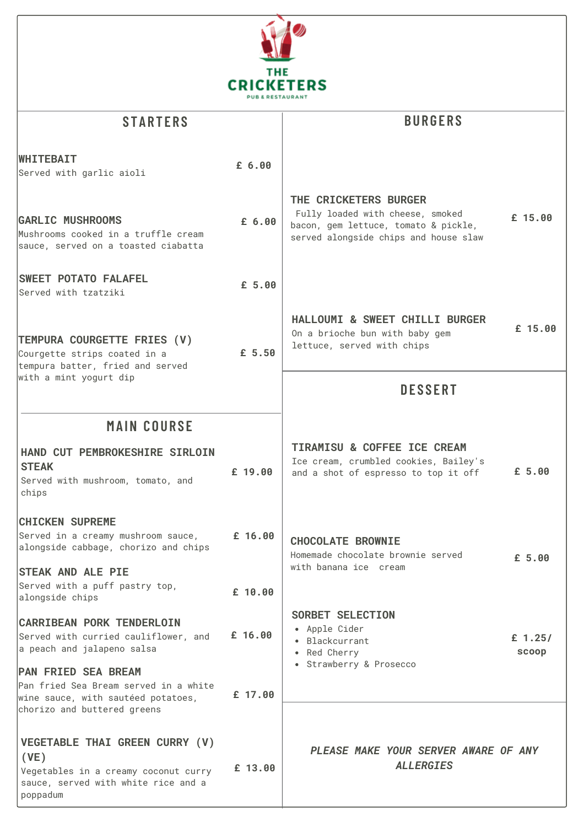

| <b>STARTERS</b>                                                                                                                          |           | <b>BURGERS</b>                                                                                                                             |                    |  |
|------------------------------------------------------------------------------------------------------------------------------------------|-----------|--------------------------------------------------------------------------------------------------------------------------------------------|--------------------|--|
| <b>WHITEBAIT</b><br>Served with garlic aioli                                                                                             | £ 6.00    |                                                                                                                                            |                    |  |
| <b>GARLIC MUSHROOMS</b><br>Mushrooms cooked in a truffle cream<br>sauce, served on a toasted ciabatta                                    | £ 6.00    | THE CRICKETERS BURGER<br>Fully loaded with cheese, smoked<br>bacon, gem lettuce, tomato & pickle,<br>served alongside chips and house slaw | £ 15.00            |  |
| <b>SWEET POTATO FALAFEL</b><br>Served with tzatziki                                                                                      | £ 5.00    |                                                                                                                                            |                    |  |
| TEMPURA COURGETTE FRIES (V)<br>Courgette strips coated in a<br>tempura batter, fried and served<br>with a mint yogurt dip                | £ 5.50    | HALLOUMI & SWEET CHILLI BURGER<br>On a brioche bun with baby gem<br>lettuce, served with chips                                             | £ 15.00            |  |
|                                                                                                                                          |           | <b>DESSERT</b>                                                                                                                             |                    |  |
| <b>MAIN COURSE</b>                                                                                                                       |           |                                                                                                                                            |                    |  |
| HAND CUT PEMBROKESHIRE SIRLOIN<br><b>STEAK</b><br>Served with mushroom, tomato, and<br>chips                                             | $£$ 19.00 | TIRAMISU & COFFEE ICE CREAM<br>Ice cream, crumbled cookies, Bailey's<br>and a shot of espresso to top it off                               | £ 5.00             |  |
| <b>CHICKEN SUPREME</b><br>Served in a creamy mushroom sauce,<br>alongside cabbage, chorizo and chips                                     | £ 16.00   | <b>CHOCOLATE BROWNIE</b><br>Homemade chocolate brownie served                                                                              | £ 5.00             |  |
| <b>STEAK AND ALE PIE</b><br>Served with a puff pastry top,<br>alongside chips                                                            | $£$ 10.00 | with banana ice cream                                                                                                                      |                    |  |
| <b>CARRIBEAN PORK TENDERLOIN</b><br>Served with curried cauliflower, and<br>a peach and jalapeno salsa                                   | £ 16.00   | SORBET SELECTION<br>• Apple Cider<br>• Blackcurrant<br>• Red Cherry                                                                        | £ $1.25/$<br>scoop |  |
| <b>PAN FRIED SEA BREAM</b><br>Pan fried Sea Bream served in a white<br>wine sauce, with sautéed potatoes,<br>chorizo and buttered greens | £ 17.00   | • Strawberry & Prosecco                                                                                                                    |                    |  |
| VEGETABLE THAI GREEN CURRY (V)<br>(VE)<br>Vegetables in a creamy coconut curry<br>sauce, served with white rice and a<br>poppadum        | £ 13.00   | PLEASE MAKE YOUR SERVER AWARE OF ANY<br><b>ALLERGIES</b>                                                                                   |                    |  |